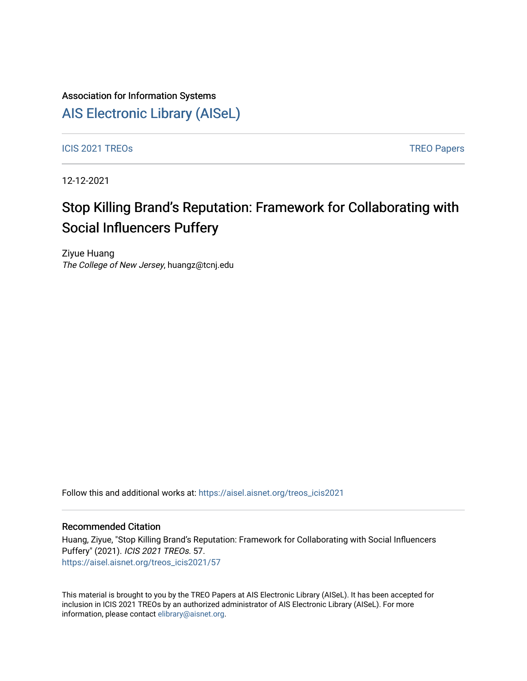## Association for Information Systems

## [AIS Electronic Library \(AISeL\)](https://aisel.aisnet.org/)

ICIS 2021 TREOS Notes that the contract of the contract of the contract of the contract of the contract of the contract of the contract of the contract of the contract of the contract of the contract of the contract of the

12-12-2021

# Stop Killing Brand's Reputation: Framework for Collaborating with Social Influencers Puffery

Ziyue Huang The College of New Jersey, huangz@tcnj.edu

Follow this and additional works at: [https://aisel.aisnet.org/treos\\_icis2021](https://aisel.aisnet.org/treos_icis2021?utm_source=aisel.aisnet.org%2Ftreos_icis2021%2F57&utm_medium=PDF&utm_campaign=PDFCoverPages) 

#### Recommended Citation

Huang, Ziyue, "Stop Killing Brand's Reputation: Framework for Collaborating with Social Influencers Puffery" (2021). ICIS 2021 TREOs. 57. [https://aisel.aisnet.org/treos\\_icis2021/57](https://aisel.aisnet.org/treos_icis2021/57?utm_source=aisel.aisnet.org%2Ftreos_icis2021%2F57&utm_medium=PDF&utm_campaign=PDFCoverPages) 

This material is brought to you by the TREO Papers at AIS Electronic Library (AISeL). It has been accepted for inclusion in ICIS 2021 TREOs by an authorized administrator of AIS Electronic Library (AISeL). For more information, please contact [elibrary@aisnet.org.](mailto:elibrary@aisnet.org%3E)